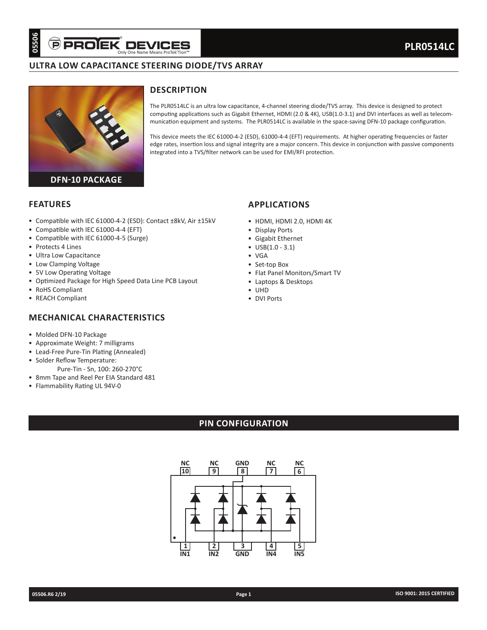## **ULTRA LOW CAPACITANCE STEERING DIODE/TVS ARRAY**



## **DESCRIPTION**

The PLR0514LC is an ultra low capacitance, 4-channel steering diode/TVS array. This device is designed to protect computing applications such as Gigabit Ethernet, HDMI (2.0 & 4K), USB(1.0-3.1) and DVI interfaces as well as telecommunication equipment and systems. The PLR0514LC is available in the space-saving DFN-10 package configuration.

This device meets the IEC 61000-4-2 (ESD), 61000-4-4 (EFT) requirements. At higher operating frequencies or faster edge rates, insertion loss and signal integrity are a major concern. This device in conjunction with passive components integrated into a TVS/filter network can be used for EMI/RFI protection.

**APPLICATIONS**

• Display Ports • Gigabit Ethernet • USB(1.0 - 3.1)

• VGA • Set-top Box

• UHD • DVI Ports

• HDMI, HDMI 2.0, HDMI 4K

• Flat Panel Monitors/Smart TV

• Laptops & Desktops

### **FEATURES**

- Compatible with IEC 61000-4-2 (ESD): Contact ±8kV, Air ±15kV
- Compatible with IEC 61000-4-4 (EFT)
- Compatible with IEC 61000-4-5 (Surge)
- Protects 4 Lines
- Ultra Low Capacitance
- Low Clamping Voltage
- 5V Low Operating Voltage
- Optimized Package for High Speed Data Line PCB Layout
- RoHS Compliant
- REACH Compliant

### **MECHANICAL CHARACTERISTICS**

- Molded DFN-10 Package
- Approximate Weight: 7 milligrams
- Lead-Free Pure-Tin Plating (Annealed)
- Solder Reflow Temperature:
	- Pure-Tin Sn, 100: 260-270°C
- 8mm Tape and Reel Per EIA Standard 481 • Flammability Rating UL 94V-0

## **PIN CONFIGURATION**

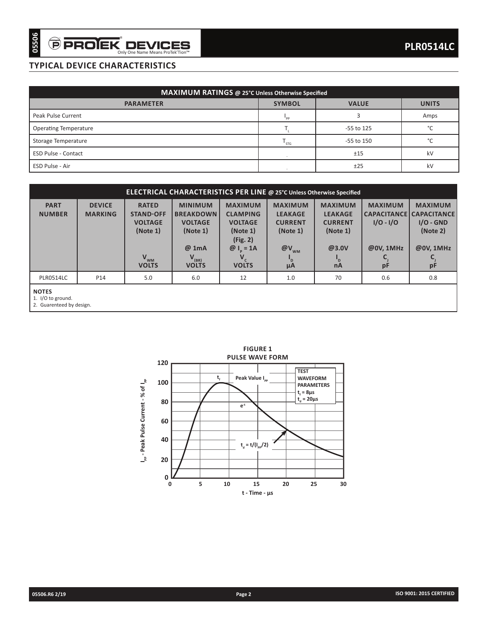## **TYPICAL DEVICE CHARACTERISTICS**

| MAXIMUM RATINGS @ 25°C Unless Otherwise Specified |               |              |              |  |  |  |  |
|---------------------------------------------------|---------------|--------------|--------------|--|--|--|--|
| <b>PARAMETER</b>                                  | <b>SYMBOL</b> | <b>VALUE</b> | <b>UNITS</b> |  |  |  |  |
| Peak Pulse Current                                | "PP           |              | Amps         |  |  |  |  |
| <b>Operating Temperature</b>                      |               | -55 to 125   | $\circ$      |  |  |  |  |
| Storage Temperature                               | ' STG         | -55 to 150   | $\sim$       |  |  |  |  |
| <b>ESD Pulse - Contact</b>                        |               | ±15          | kV           |  |  |  |  |
| ESD Pulse - Air                                   |               | ±25          | kV           |  |  |  |  |

| 05506                        | <b>PROJEK DEVICES</b>                 | Only One Name Means ProTek'Tion™                                                                            |                                                                                                         |                                                                                                                                                                                                                     |                                                                                                                       |                                                                                                            |                                                                             | <b>PLR0514LC</b>                                                                                                              |
|------------------------------|---------------------------------------|-------------------------------------------------------------------------------------------------------------|---------------------------------------------------------------------------------------------------------|---------------------------------------------------------------------------------------------------------------------------------------------------------------------------------------------------------------------|-----------------------------------------------------------------------------------------------------------------------|------------------------------------------------------------------------------------------------------------|-----------------------------------------------------------------------------|-------------------------------------------------------------------------------------------------------------------------------|
|                              | <b>TYPICAL DEVICE CHARACTERISTICS</b> |                                                                                                             |                                                                                                         |                                                                                                                                                                                                                     |                                                                                                                       |                                                                                                            |                                                                             |                                                                                                                               |
|                              |                                       |                                                                                                             |                                                                                                         |                                                                                                                                                                                                                     |                                                                                                                       |                                                                                                            |                                                                             |                                                                                                                               |
|                              |                                       |                                                                                                             | MAXIMUM RATINGS @ 25°C Unless Otherwise Specified                                                       |                                                                                                                                                                                                                     |                                                                                                                       |                                                                                                            |                                                                             |                                                                                                                               |
|                              |                                       | <b>PARAMETER</b>                                                                                            |                                                                                                         |                                                                                                                                                                                                                     | <b>SYMBOL</b>                                                                                                         | <b>VALUE</b>                                                                                               |                                                                             | <b>UNITS</b>                                                                                                                  |
| Peak Pulse Current           |                                       |                                                                                                             |                                                                                                         |                                                                                                                                                                                                                     | $I_{\rm pp}$                                                                                                          | 3                                                                                                          |                                                                             | Amps                                                                                                                          |
| <b>Operating Temperature</b> |                                       |                                                                                                             |                                                                                                         |                                                                                                                                                                                                                     | $T_{\rm L}$                                                                                                           | -55 to 125                                                                                                 |                                                                             | $^{\circ}{\rm C}$                                                                                                             |
| Storage Temperature          |                                       |                                                                                                             |                                                                                                         |                                                                                                                                                                                                                     | $T_{STG}$                                                                                                             | -55 to 150                                                                                                 |                                                                             | °C                                                                                                                            |
| ESD Pulse - Contact          |                                       |                                                                                                             |                                                                                                         |                                                                                                                                                                                                                     | ÷.                                                                                                                    | ±15                                                                                                        |                                                                             | kV                                                                                                                            |
| ESD Pulse - Air              |                                       |                                                                                                             |                                                                                                         |                                                                                                                                                                                                                     |                                                                                                                       | ±25                                                                                                        |                                                                             | kV                                                                                                                            |
|                              |                                       |                                                                                                             | ELECTRICAL CHARACTERISTICS PER LINE @ 25°C Unless Otherwise Specified                                   |                                                                                                                                                                                                                     |                                                                                                                       |                                                                                                            |                                                                             |                                                                                                                               |
| <b>PART</b><br><b>NUMBER</b> | <b>DEVICE</b><br><b>MARKING</b>       | <b>RATED</b><br><b>STAND-OFF</b><br><b>VOLTAGE</b><br>(Note 1)<br>$V_{WM}$<br><b>VOLTS</b>                  | <b>MINIMUM</b><br><b>BREAKDOWN</b><br><b>VOLTAGE</b><br>(Note 1)<br>@ 1mA<br>$V_{(BR)}$<br><b>VOLTS</b> | <b>MAXIMUM</b><br><b>CLAMPING</b><br><b>VOLTAGE</b><br>(Note 1)<br>(Fig. 2)<br>$@I_p = 1A$<br>$V_c$<br><b>VOLTS</b>                                                                                                 | <b>MAXIMUM</b><br><b>LEAKAGE</b><br><b>CURRENT</b><br>(Note 1)<br>$@V_{_{\rm WM}}$<br>$\mathsf{I}_{\mathsf{D}}$<br>μA | <b>MAXIMUM</b><br><b>LEAKAGE</b><br><b>CURRENT</b><br>(Note 1)<br>@3.0V<br>$\mathsf{I}_{\mathsf{D}}$<br>nA | <b>MAXIMUM</b><br>$I/O - I/O$<br>@0V, 1MHz<br>$\mathsf{C}_\mathsf{j}$<br>рF | <b>MAXIMUM</b><br><b>CAPACITANCE CAPACITANCE</b><br>$I/O - GND$<br>(Note 2)<br>@0V, 1MHz<br>$\mathsf{C}\xspace_{\sf j}$<br>pF |
| <b>PLR0514LC</b>             | P14                                   | 5.0                                                                                                         | 6.0                                                                                                     | 12                                                                                                                                                                                                                  | 1.0                                                                                                                   | 70                                                                                                         | 0.6                                                                         | 0.8                                                                                                                           |
|                              |                                       | 120<br>l <sub>pp</sub> - Peak Pulse Current - % of l <sub>pp</sub><br>100<br>80<br>60<br>40<br>20<br>0<br>0 | t,<br>5                                                                                                 | <b>FIGURE 1</b><br><b>PULSE WAVE FORM</b><br>Peak Value I <sub>pp</sub><br>$\mathsf{e}^{\cdot \mathsf{t}}$<br>$\mathsf{t}_{_{\sf d}}\!=\mathsf{t}/(\mathsf{I}_{_{\sf pp}}\!/2)$<br>10<br>15<br>$t$ - Time - $\mu s$ | <b>TEST</b><br><b>WAVEFORM</b><br><b>PARAMETERS</b><br>$t_f = 8\mu s$<br>$t_d = 20 \mu s$<br>20<br>25                 | 30                                                                                                         |                                                                             |                                                                                                                               |
| 05506.R6 2/19                |                                       |                                                                                                             |                                                                                                         | Page 2                                                                                                                                                                                                              |                                                                                                                       |                                                                                                            |                                                                             | ISO 9001: 2015 CERTIFIED                                                                                                      |

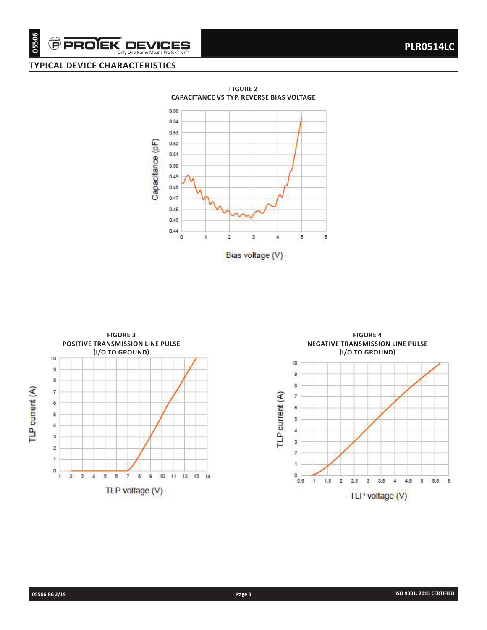# **TYPICAL DEVICE CHARACTERISTICS**





**FIGURE 4 NEGATIVE TRANSMISSION LINE PULSE (I/O TO GROUND)**10  $\overline{9}$  $^{\rm 8}$ TLP current (A)  $\overline{t}$  $\mathbf 6$  $\mathsf{s}$  $\ddot{4}$ 3  $\overline{2}$ 1  $\circ$  $0.5$  $\mathbf{I}$  $1.5$  $\mathbf{2}$  $2.5\,$  $3<sup>1</sup>$  $3.5$  $4\quad 4.5$  $5\quad 5.5\quad 6$ TLP voltage (V)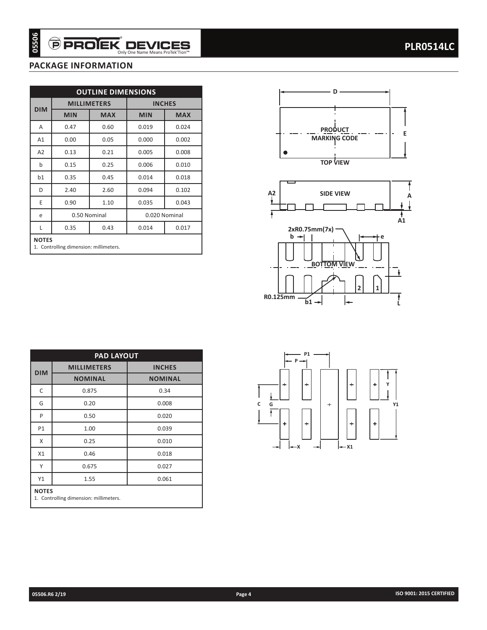## **PACKAGE INFORMATION**

| <b>MILLIMETERS</b><br><b>INCHES</b><br><b>MIN</b><br><b>MAX</b><br><b>MIN</b><br>0.47<br>0.60<br>0.019<br>0.024<br>A1<br>0.00<br>0.05<br>0.000<br>0.002<br>A2<br>0.13<br>0.21<br>0.005<br>0.008<br>0.15<br>0.25<br>0.006<br>0.35<br>0.45<br>b1<br>0.014<br>2.40<br>2.60<br>0.094<br>0.90<br>1.10<br>0.035<br>0.50 Nominal<br>0.020 Nominal<br>0.35<br>0.43<br>0.014<br><b>NOTES</b><br>1. Controlling dimension: millimeters. | <b>DIM</b><br>Α                       |  | <b>OUTLINE DIMENSIONS</b> |            |
|-------------------------------------------------------------------------------------------------------------------------------------------------------------------------------------------------------------------------------------------------------------------------------------------------------------------------------------------------------------------------------------------------------------------------------|---------------------------------------|--|---------------------------|------------|
|                                                                                                                                                                                                                                                                                                                                                                                                                               |                                       |  |                           |            |
|                                                                                                                                                                                                                                                                                                                                                                                                                               |                                       |  |                           | <b>MAX</b> |
|                                                                                                                                                                                                                                                                                                                                                                                                                               |                                       |  |                           |            |
|                                                                                                                                                                                                                                                                                                                                                                                                                               |                                       |  |                           |            |
|                                                                                                                                                                                                                                                                                                                                                                                                                               |                                       |  |                           |            |
|                                                                                                                                                                                                                                                                                                                                                                                                                               |                                       |  |                           | 0.010      |
|                                                                                                                                                                                                                                                                                                                                                                                                                               |                                       |  |                           | 0.018      |
|                                                                                                                                                                                                                                                                                                                                                                                                                               |                                       |  |                           | 0.102      |
|                                                                                                                                                                                                                                                                                                                                                                                                                               |                                       |  |                           | 0.043      |
|                                                                                                                                                                                                                                                                                                                                                                                                                               |                                       |  |                           |            |
|                                                                                                                                                                                                                                                                                                                                                                                                                               |                                       |  |                           | 0.017      |
| <b>PAD LAYOUT</b>                                                                                                                                                                                                                                                                                                                                                                                                             |                                       |  |                           |            |
| <b>MILLIMETERS</b><br><b>INCHES</b>                                                                                                                                                                                                                                                                                                                                                                                           |                                       |  |                           |            |
|                                                                                                                                                                                                                                                                                                                                                                                                                               |                                       |  |                           |            |
| <b>NOMINAL</b><br><b>NOMINAL</b>                                                                                                                                                                                                                                                                                                                                                                                              |                                       |  |                           |            |
| 0.875<br>0.34                                                                                                                                                                                                                                                                                                                                                                                                                 |                                       |  |                           |            |
| 0.20<br>0.008                                                                                                                                                                                                                                                                                                                                                                                                                 |                                       |  |                           |            |
| 0.50<br>0.020                                                                                                                                                                                                                                                                                                                                                                                                                 |                                       |  |                           |            |
| 1.00<br>0.039                                                                                                                                                                                                                                                                                                                                                                                                                 |                                       |  |                           |            |
| 0.25<br>0.010                                                                                                                                                                                                                                                                                                                                                                                                                 |                                       |  |                           |            |
| 0.46<br>0.018                                                                                                                                                                                                                                                                                                                                                                                                                 | <b>DIM</b><br>G<br>P<br>P1<br>Χ<br>X1 |  |                           |            |
| 0.675<br>0.027                                                                                                                                                                                                                                                                                                                                                                                                                |                                       |  |                           |            |
|                                                                                                                                                                                                                                                                                                                                                                                                                               |                                       |  |                           |            |
|                                                                                                                                                                                                                                                                                                                                                                                                                               |                                       |  |                           |            |
|                                                                                                                                                                                                                                                                                                                                                                                                                               |                                       |  |                           |            |
|                                                                                                                                                                                                                                                                                                                                                                                                                               |                                       |  |                           |            |
|                                                                                                                                                                                                                                                                                                                                                                                                                               |                                       |  |                           |            |
|                                                                                                                                                                                                                                                                                                                                                                                                                               |                                       |  |                           |            |





| <b>PAD LAYOUT</b>                                      |                    |                |  |  |  |  |  |  |
|--------------------------------------------------------|--------------------|----------------|--|--|--|--|--|--|
| <b>DIM</b>                                             | <b>MILLIMETERS</b> | <b>INCHES</b>  |  |  |  |  |  |  |
|                                                        | <b>NOMINAL</b>     | <b>NOMINAL</b> |  |  |  |  |  |  |
| C                                                      | 0.875              | 0.34           |  |  |  |  |  |  |
| G                                                      | 0.20               | 0.008          |  |  |  |  |  |  |
| P                                                      | 0.50               | 0.020          |  |  |  |  |  |  |
| P1                                                     | 1.00               | 0.039          |  |  |  |  |  |  |
| X                                                      | 0.25               | 0.010          |  |  |  |  |  |  |
| X1                                                     | 0.46               | 0.018          |  |  |  |  |  |  |
| Υ                                                      | 0.675              | 0.027          |  |  |  |  |  |  |
| Y1                                                     | 0.061<br>1.55      |                |  |  |  |  |  |  |
| <b>NOTES</b><br>1. Controlling dimension: millimeters. |                    |                |  |  |  |  |  |  |

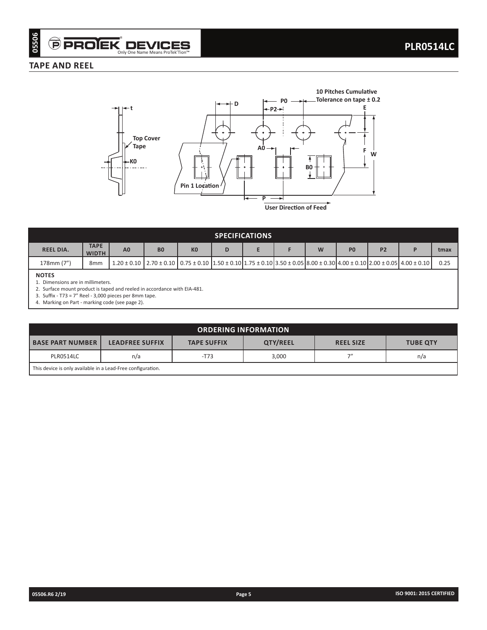### **TAPE AND REEL**



| <b>SPECIFICATIONS</b> |                                                                                                                                                                                                                       |                |                |                |   |  |  |  |                |           |  |      |
|-----------------------|-----------------------------------------------------------------------------------------------------------------------------------------------------------------------------------------------------------------------|----------------|----------------|----------------|---|--|--|--|----------------|-----------|--|------|
| <b>REEL DIA.</b>      | <b>TAPE</b><br><b>WIDTH</b>                                                                                                                                                                                           | A <sub>0</sub> | B <sub>0</sub> | K <sub>0</sub> | D |  |  |  | P <sub>0</sub> | <b>P2</b> |  | tmax |
| 178mm (7")            | 8 <sub>mm</sub>                                                                                                                                                                                                       |                |                |                |   |  |  |  |                |           |  | 0.25 |
| <b>NOTES</b>          | $1.20 \pm 0.10$   $2.70 \pm 0.10$   $0.75 \pm 0.10$   $1.50 \pm 0.10$   $1.75 \pm 0.10$   $3.50 \pm 0.05$   $8.00 \pm 0.30$   $4.00 \pm 0.10$   $2.00 \pm 0.05$   $4.00 \pm 0.10$  <br>Dimensions are in millimeters. |                |                |                |   |  |  |  |                |           |  |      |

2. Surface mount product is taped and reeled in accordance with EIA-481.

3. Suffix - T73 = 7" Reel - 3,000 pieces per 8mm tape.

4. Marking on Part - marking code (see page 2).

| <b>ORDERING INFORMATION</b>                                 |                                                                                                        |  |  |  |  |  |  |
|-------------------------------------------------------------|--------------------------------------------------------------------------------------------------------|--|--|--|--|--|--|
| <b>BASE PART NUMBER I</b>                                   | <b>QTY/REEL</b><br><b>LEADFREE SUFFIX</b><br><b>TAPE SUFFIX</b><br><b>REEL SIZE</b><br><b>TUBE QTY</b> |  |  |  |  |  |  |
| 711<br>3,000<br>PLR0514LC<br>$-T73$<br>n/a<br>n/a           |                                                                                                        |  |  |  |  |  |  |
| This device is only available in a Lead-Free configuration. |                                                                                                        |  |  |  |  |  |  |